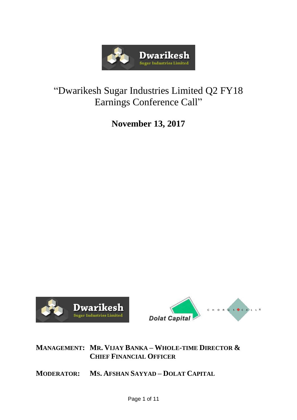

# "Dwarikesh Sugar Industries Limited Q2 FY18 Earnings Conference Call"

**November 13, 2017**





# **MANAGEMENT: MR. VIJAY BANKA – WHOLE-TIME DIRECTOR & CHIEF FINANCIAL OFFICER**

**MODERATOR: MS. AFSHAN SAYYAD – DOLAT CAPITAL**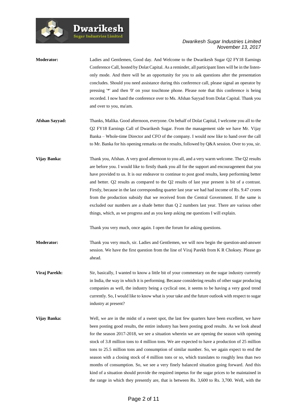

| <b>Moderator:</b> | Ladies and Gentlemen, Good day. And Welcome to the Dwarikesh Sugar Q2 FY18 Earnings<br>Conference Call, hosted by Dolat Capital. As a reminder, all participant lines will be in the listen-<br>only mode. And there will be an opportunity for you to ask questions after the presentation<br>concludes. Should you need assistance during this conference call, please signal an operator by<br>pressing '*' and then '0' on your touchtone phone. Please note that this conference is being<br>recorded. I now hand the conference over to Ms. Afshan Sayyad from Dolat Capital. Thank you<br>and over to you, ma'am.                                                                                                                                                                                                                                                |
|-------------------|-------------------------------------------------------------------------------------------------------------------------------------------------------------------------------------------------------------------------------------------------------------------------------------------------------------------------------------------------------------------------------------------------------------------------------------------------------------------------------------------------------------------------------------------------------------------------------------------------------------------------------------------------------------------------------------------------------------------------------------------------------------------------------------------------------------------------------------------------------------------------|
| Afshan Sayyad:    | Thanks, Malika. Good afternoon, everyone. On behalf of Dolat Capital, I welcome you all to the<br>Q2 FY18 Earnings Call of Dwarikesh Sugar. From the management side we have Mr. Vijay<br>Banka – Whole-time Director and CFO of the company. I would now like to hand over the call<br>to Mr. Banka for his opening remarks on the results, followed by Q&A session. Over to you, sir.                                                                                                                                                                                                                                                                                                                                                                                                                                                                                 |
| Vijay Banka:      | Thank you, Afshan. A very good afternoon to you all, and a very warm welcome. The Q2 results<br>are before you. I would like to firstly thank you all for the support and encouragement that you<br>have provided to us. It is our endeavor to continue to post good results, keep performing better<br>and better. Q2 results as compared to the Q2 results of last year present is bit of a contrast.<br>Firstly, because in the last corresponding quarter last year we had had income of Rs. 9.47 crores<br>from the production subsidy that we received from the Central Government. If the same is<br>excluded our numbers are a shade better than Q 2 numbers last year. There are various other<br>things, which, as we progress and as you keep asking me questions I will explain.<br>Thank you very much, once again. I open the forum for asking questions. |
| <b>Moderator:</b> | Thank you very much, sir. Ladies and Gentlemen, we will now begin the question-and-answer<br>session. We have the first question from the line of Viraj Parekh from K R Choksey. Please go<br>ahead.                                                                                                                                                                                                                                                                                                                                                                                                                                                                                                                                                                                                                                                                    |
| Viraj Parekh:     | Sir, basically, I wanted to know a little bit of your commentary on the sugar industry currently<br>in India, the way in which it is performing. Because considering results of other sugar producing<br>companies as well, the industry being a cyclical one, it seems to be having a very good trend<br>currently. So, I would like to know what is your take and the future outlook with respect to sugar<br>industry at present?                                                                                                                                                                                                                                                                                                                                                                                                                                    |
| Vijay Banka:      | Well, we are in the midst of a sweet spot, the last few quarters have been excellent, we have<br>been posting good results, the entire industry has been posting good results. As we look ahead<br>for the season 2017-2018, we see a situation wherein we are opening the season with opening<br>stock of 3.8 million tons to 4 million tons. We are expected to have a production of 25 million<br>tons to 25.5 million tons and consumption of similar number. So, we again expect to end the<br>season with a closing stock of 4 million tons or so, which translates to roughly less than two<br>months of consumption. So, we see a very finely balanced situation going forward. And this<br>kind of a situation should provide the required impetus for the sugar prices to be maintained in                                                                    |

the range in which they presently are, that is between Rs. 3,600 to Rs. 3,700. Well, with the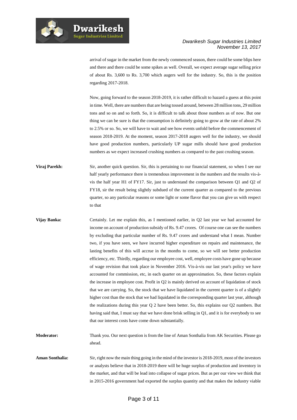

**Dwarikesh Sugar Industries Limited** 

arrival of sugar in the market from the newly commenced season, there could be some blips here and there and there could be some spikes as well. Overall, we expect average sugar selling price of about Rs. 3,600 to Rs. 3,700 which augers well for the industry. So, this is the position regarding 2017-2018.

Now, going forward to the season 2018-2019, it is rather difficult to hazard a guess at this point in time. Well, there are numbers that are being tossed around, between 28 million tons, 29 million tons and so on and so forth. So, it is difficult to talk about those numbers as of now. But one thing we can be sure is that the consumption is definitely going to grow at the rate of about 2% to 2.5% or so. So, we will have to wait and see how events unfold before the commencement of season 2018-2019. At the moment, season 2017-2018 augers well for the industry, we should have good production numbers, particularly UP sugar mills should have good production numbers as we expect increased crushing numbers as compared to the past crushing season.

**Viraj Parekh:** Sir, another quick question. Sir, this is pertaining to our financial statement, so when I see our half yearly performance there is tremendous improvement in the numbers and the results vis-àvis the half year H1 of FY17. Sir, just to understand the comparison between Q1 and Q2 of FY18, sir the result being slightly subdued of the current quarter as compared to the previous quarter, so any particular reasons or some light or some flavor that you can give us with respect to that

**Vijay Banka:** Certainly. Let me explain this, as I mentioned earlier, in Q2 last year we had accounted for income on account of production subsidy of Rs. 9.47 crores. Of course one can see the numbers by excluding that particular number of Rs. 9.47 crores and understand what I mean. Number two, if you have seen, we have incurred higher expenditure on repairs and maintenance, the lasting benefits of this will accrue in the months to come, so we will see better production efficiency, etc. Thirdly, regarding our employee cost, well, employee costs have gone up because of wage revision that took place in November 2016. Vis-à-vis our last year's policy we have accounted for commission, etc, in each quarter on an approximation. So, these factors explain the increase in employee cost. Profit in Q2 is mainly derived on account of liquidation of stock that we are carrying. So, the stock that we have liquidated in the current quarter is of a slightly higher cost than the stock that we had liquidated in the corresponding quarter last year, although the realizations during this year Q 2 have been better. So, this explains our Q2 numbers. But having said that, I must say that we have done brisk selling in Q1, and it is for everybody to see that our interest costs have come down substantially.

**Moderator:** Thank you. Our next question is from the line of Aman Sonthalia from AK Securities. Please go ahead.

**Aman Sonthalia:** Sir, right now the main thing going in the mind of the investor is 2018-2019, most of the investors or analysts believe that in 2018-2019 there will be huge surplus of production and inventory in the market, and that will be lead into collapse of sugar prices. But as per our view we think that in 2015-2016 government had exported the surplus quantity and that makes the industry viable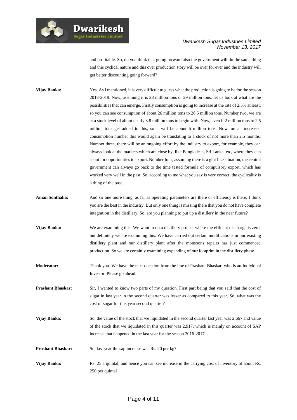

**Dwarikesl Sugar Industries Limited** 

#### *Dwarikesh Sugar Industries Limited November 13, 2017*

and profitable. So, do you think that going forward also the government will do the same thing and this cyclical nature and this over production story will be over for ever and the industry will get better discounting going forward?

**Vijay Banka:** Yes. As I mentioned, it is very difficult to guess what the production is going to be for the season 2018-2019. Now, assuming it is 28 million tons or 29 million tons, let us look at what are the possibilities that can emerge. Firstly consumption is going to increase at the rate of 2.5% at least, so you can see consumption of about 26 million tons to 26.5 million tons. Number two, we are at a stock level of about nearly 3.8 million tons to begin with. Now, even if 2 million tons to 2.5 million tons get added to this, so it will be about 6 million tons. Now, on an increased consumption number this would again be translating to a stock of not more than 2.5 months. Number three, there will be an ongoing effort by the industry to export, for example, they can always look at the markets which are close by, like Bangladesh, Sri Lanka, etc, where they can scout for opportunities to export. Number four, assuming there is a glut like situation, the central government can always go back to the time tested formula of compulsory export, which has worked very well in the past. So, according to me what you say is very correct, the cyclicality is a thing of the past.

- **Aman Sonthalia:** And sir one more thing, as far as operating parameters are there or efficiency is there, I think you are the best in the industry. But only one thing is missing there that you do not have complete integration in the distillery. So, are you planning to put up a distillery in the near future?
- **Vijay Banka:** We are examining this. We want to do a distillery project where the effluent discharge is zero, but definitely we are examining this. We have carried out certain modifications in our existing distillery plant and our distillery plant after the monsoons repairs has just commenced production. So we are certainly examining expanding of our footprint in the distillery phase.
- **Moderator:** Thank you. We have the next question from the line of Prashant Bhaskar, who is an Individual Investor. Please go ahead.
- **Prashant Bhaskar:** Sir, I wanted to know two parts of my question. First part being that you said that the cost of sugar in last year in the second quarter was lesser as compared to this year. So, what was the cost of sugar for this year second quarter?
- **Vijay Banka:** So, the value of the stock that we liquidated in the second quarter last year was 2,667 and value of the stock that we liquidated in this quarter was 2,917, which is mainly on account of SAP increase that happened in the last year for the season 2016-2017. .
- **Prashant Bhaskar:** So, last year the sap increase was Rs. 20 per kg?
- **Vijay Banka:** Rs. 25 a quintal, and hence you can see increase in the carrying cost of inventory of about Rs. 250 per quintal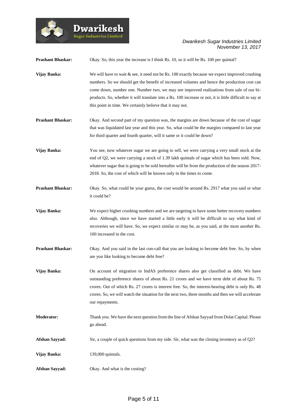

| <b>Prashant Bhaskar:</b> | Okay. So, this year the increase is I think Rs. 10, so it will be Rs. 100 per quintal?                                                                                                                                                                                                                                                                                                                                                                                 |
|--------------------------|------------------------------------------------------------------------------------------------------------------------------------------------------------------------------------------------------------------------------------------------------------------------------------------------------------------------------------------------------------------------------------------------------------------------------------------------------------------------|
| Vijay Banka:             | We will have to wait $\&$ see, it need not be Rs. 100 exactly because we expect improved crushing<br>numbers. So we should get the benefit of increased volumes and hence the production cost can<br>come down, number one. Number two, we may see improved realizations from sale of our bi-<br>products. So, whether it will translate into a Rs. 100 increase or not, it is little difficult to say at<br>this point in time. We certainly believe that it may not. |
| <b>Prashant Bhaskar:</b> | Okay. And second part of my question was, the margins are down because of the cost of sugar<br>that was liquidated last year and this year. So, what could be the margins compared to last year<br>for third quarter and fourth quarter, will it same or it could be down?                                                                                                                                                                                             |
| Vijay Banka:             | You see, now whatever sugar we are going to sell, we were carrying a very small stock at the<br>end of Q2, we were carrying a stock of 1.39 lakh quintals of sugar which has been sold. Now,<br>whatever sugar that is going to be sold hereafter will be from the production of the season 2017-<br>2018. So, the cost of which will be known only in the times to come.                                                                                              |
| <b>Prashant Bhaskar:</b> | Okay. So, what could be your guess, the cost would be around Rs. 2917 what you said or what<br>it could be?                                                                                                                                                                                                                                                                                                                                                            |
| Vijay Banka:             | We expect higher crushing numbers and we are targeting to have some better recovery numbers<br>also. Although, since we have started a little early it will be difficult to say what kind of<br>recoveries we will have. So, we expect similar or may be, as you said, at the most another Rs.<br>100 increased in the cost.                                                                                                                                           |
| <b>Prashant Bhaskar:</b> | Okay. And you said in the last con-call that you are looking to become debt free. So, by when<br>are you like looking to become debt free?                                                                                                                                                                                                                                                                                                                             |
| Vijay Banka:             | On account of migration to IndAS preference shares also get classified as debt. We have<br>outstanding preference shares of about Rs. 21 crores and we have term debt of about Rs. 75<br>crores. Out of which Rs. 27 crores is interest free. So, the interest-bearing debt is only Rs. 48<br>crores. So, we will watch the situation for the next two, three months and then we will accelerate<br>our repayments.                                                    |
| Moderator:               | Thank you. We have the next question from the line of Afshan Sayyad from Dolat Capital. Please<br>go ahead.                                                                                                                                                                                                                                                                                                                                                            |
| Afshan Sayyad:           | Sir, a couple of quick questions from my side. Sir, what was the closing inventory as of $Q2$ ?                                                                                                                                                                                                                                                                                                                                                                        |
| Vijay Banka:             | 139,000 quintals.                                                                                                                                                                                                                                                                                                                                                                                                                                                      |
| Afshan Sayyad:           | Okay. And what is the costing?                                                                                                                                                                                                                                                                                                                                                                                                                                         |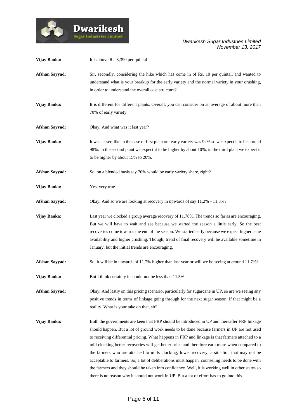

| Vijay Banka:          | It is above Rs. 3,390 per quintal                                                                                                                                                                                                                                                                                                                                                                                                                                                                                                                                                                                                                                                                                                                                                                     |
|-----------------------|-------------------------------------------------------------------------------------------------------------------------------------------------------------------------------------------------------------------------------------------------------------------------------------------------------------------------------------------------------------------------------------------------------------------------------------------------------------------------------------------------------------------------------------------------------------------------------------------------------------------------------------------------------------------------------------------------------------------------------------------------------------------------------------------------------|
| <b>Afshan Sayyad:</b> | Sir, secondly, considering the hike which has come in of Rs. 10 per quintal, and wanted to<br>understand what is your breakup for the early variety and the normal variety in your crushing,<br>in order to understand the overall cost structure?                                                                                                                                                                                                                                                                                                                                                                                                                                                                                                                                                    |
| Vijay Banka:          | It is different for different plants. Overall, you can consider on an average of about more than<br>70% of early variety.                                                                                                                                                                                                                                                                                                                                                                                                                                                                                                                                                                                                                                                                             |
| Afshan Sayyad:        | Okay. And what was it last year?                                                                                                                                                                                                                                                                                                                                                                                                                                                                                                                                                                                                                                                                                                                                                                      |
| Vijay Banka:          | It was lesser, like in the case of first plant our early variety was 92% so we expect it to be around<br>98%. In the second plant we expect it to be higher by about 10%, in the third plant we expect it<br>to be higher by about 15% to 20%.                                                                                                                                                                                                                                                                                                                                                                                                                                                                                                                                                        |
| Afshan Sayyad:        | So, on a blended basis say 70% would be early variety share, right?                                                                                                                                                                                                                                                                                                                                                                                                                                                                                                                                                                                                                                                                                                                                   |
| Vijay Banka:          | Yes, very true.                                                                                                                                                                                                                                                                                                                                                                                                                                                                                                                                                                                                                                                                                                                                                                                       |
| Afshan Sayyad:        | Okay. And so we are looking at recovery in upwards of say 11.2% - 11.3%?                                                                                                                                                                                                                                                                                                                                                                                                                                                                                                                                                                                                                                                                                                                              |
| Vijay Banka:          | Last year we clocked a group average recovery of 11.78%. The trends so far as are encouraging.<br>But we will have to wait and see because we started the season a little early. So the best<br>recoveries come towards the end of the season. We started early because we expect higher cane<br>availability and higher crushing. Though, trend of final recovery will be available sometime in<br>January, but the initial trends are encouraging.                                                                                                                                                                                                                                                                                                                                                  |
| <b>Afshan Sayyad:</b> | So, it will be in upwards of 11.7% higher than last year or will we be seeing at around 11.7%?                                                                                                                                                                                                                                                                                                                                                                                                                                                                                                                                                                                                                                                                                                        |
| Vijay Banka:          | But I think certainly it should not be less than 11.5%.                                                                                                                                                                                                                                                                                                                                                                                                                                                                                                                                                                                                                                                                                                                                               |
| Afshan Sayyad:        | Okay. And lastly on this pricing scenario, particularly for sugarcane in UP, so are we seeing any<br>positive trends in terms of linkage going through for the next sugar season, if that might be a<br>reality. What is your take on that, sir?                                                                                                                                                                                                                                                                                                                                                                                                                                                                                                                                                      |
| Vijay Banka:          | Both the governments are keen that FRP should be introduced in UP and thereafter FRP linkage<br>should happen. But a lot of ground work needs to be done because farmers in UP are not used<br>to receiving differential pricing. What happens in FRP and linkage is that farmers attached to a<br>mill clocking better recoveries will get better price and therefore earn more when compared to<br>the farmers who are attached to mills clocking, lower recovery, a situation that may not be<br>acceptable to farmers. So, a lot of deliberations must happen, counseling needs to be done with<br>the farmers and they should be taken into confidence. Well, it is working well in other states so<br>there is no reason why it should not work in UP. But a lot of effort has to go into this. |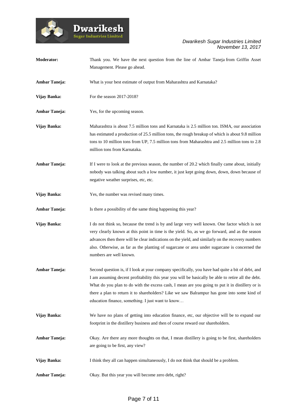

Dwarikesh

*Dwarikesh Sugar Industries Limited November 13, 2017*

| Moderator:           | Thank you. We have the next question from the line of Ambar Taneja from Griffin Asset<br>Management. Please go ahead.                                                                                                                                                                                                                                                                                                                                          |
|----------------------|----------------------------------------------------------------------------------------------------------------------------------------------------------------------------------------------------------------------------------------------------------------------------------------------------------------------------------------------------------------------------------------------------------------------------------------------------------------|
| <b>Ambar Taneja:</b> | What is your best estimate of output from Maharashtra and Karnataka?                                                                                                                                                                                                                                                                                                                                                                                           |
| Vijay Banka:         | For the season 2017-2018?                                                                                                                                                                                                                                                                                                                                                                                                                                      |
| <b>Ambar Taneja:</b> | Yes, for the upcoming season.                                                                                                                                                                                                                                                                                                                                                                                                                                  |
| Vijay Banka:         | Maharashtra is about 7.5 million tons and Karnataka is 2.5 million ton. ISMA, our association<br>has estimated a production of 25.5 million tons, the rough breakup of which is about 9.8 million<br>tons to 10 million tons from UP, 7.5 million tons from Maharashtra and 2.5 million tons to 2.8<br>million tons from Karnataka.                                                                                                                            |
| <b>Ambar Taneja:</b> | If I were to look at the previous season, the number of 20.2 which finally came about, initially<br>nobody was talking about such a low number, it just kept going down, down, down because of<br>negative weather surprises, etc, etc.                                                                                                                                                                                                                        |
| Vijay Banka:         | Yes, the number was revised many times.                                                                                                                                                                                                                                                                                                                                                                                                                        |
| <b>Ambar Taneja:</b> | Is there a possibility of the same thing happening this year?                                                                                                                                                                                                                                                                                                                                                                                                  |
| Vijay Banka:         | I do not think so, because the trend is by and large very well known. One factor which is not<br>very clearly known at this point in time is the yield. So, as we go forward, and as the season<br>advances then there will be clear indications on the yield, and similarly on the recovery numbers<br>also. Otherwise, as far as the planting of sugarcane or area under sugarcane is concerned the<br>numbers are well known.                               |
| <b>Ambar Taneja:</b> | Second question is, if I look at your company specifically, you have had quite a bit of debt, and<br>I am assuming decent profitability this year you will be basically be able to retire all the debt.<br>What do you plan to do with the excess cash, I mean are you going to put it in distillery or is<br>there a plan to return it to shareholders? Like we saw Balrampur has gone into some kind of<br>education finance, something. I just want to know |
| Vijay Banka:         | We have no plans of getting into education finance, etc, our objective will be to expand our<br>footprint in the distillery business and then of course reward our shareholders.                                                                                                                                                                                                                                                                               |
| <b>Ambar Taneja:</b> | Okay. Are there any more thoughts on that, I mean distillery is going to be first, shareholders<br>are going to be first, any view?                                                                                                                                                                                                                                                                                                                            |
| Vijay Banka:         | I think they all can happen simultaneously, I do not think that should be a problem.                                                                                                                                                                                                                                                                                                                                                                           |
| <b>Ambar Taneja:</b> | Okay. But this year you will become zero debt, right?                                                                                                                                                                                                                                                                                                                                                                                                          |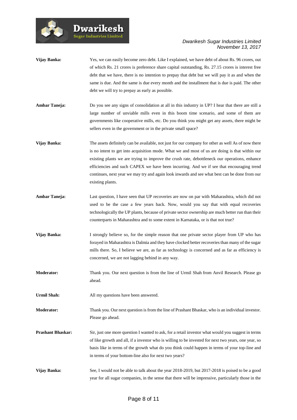

- **Vijay Banka:** Yes, we can easily become zero debt. Like I explained, we have debt of about Rs. 96 crores, out of which Rs. 21 crores is preference share capital outstanding, Rs. 27.15 crores is interest free debt that we have, there is no intention to prepay that debt but we will pay it as and when the same is due. And the same is due every month and the installment that is due is paid. The other debt we will try to prepay as early as possible.
- **Ambar Taneja:** Do you see any signs of consolidation at all in this industry in UP? I hear that there are still a large number of unviable mills even in this boom time scenario, and some of them are governments like cooperative mills, etc. Do you think you might get any assets, there might be sellers even in the government or in the private small space?
- **Vijay Banka:** The assets definitely can be available, not just for our company for other as well As of now there is no intent to get into acquisition mode. What we and most of us are doing is that within our existing plants we are trying to improve the crush rate, debottleneck our operations, enhance efficiencies and such CAPEX we have been incurring. And we if see that encouraging trend continues, next year we may try and again look inwards and see what best can be done from our existing plants.
- **Ambar Taneja:** Last question, I have seen that UP recoveries are now on par with Maharashtra, which did not used to be the case a few years back. Now, would you say that with equal recoveries technologically the UP plants, because of private sector ownership are much better run than their counterparts in Maharashtra and to some extent in Karnataka, or is that not true?
- **Vijay Banka:** I strongly believe so, for the simple reason that one private sector player from UP who has forayed in Maharashtra is Dalmia and they have clocked better recoveries than many of the sugar mills there. So, I believe we are, as far as technology is concerned and as far as efficiency is concerned, we are not lagging behind in any way.
- **Moderator:** Thank you. Our next question is from the line of Urmil Shah from Anvil Research. Please go ahead.

**Urmil Shah:** All my questions have been answered.

**Dwarikesh Sugar Industries Limited** 

**Moderator:** Thank you. Our next question is from the line of Prashant Bhaskar, who is an individual investor. Please go ahead.

- **Prashant Bhaskar:** Sir, just one more question I wanted to ask, for a retail investor what would you suggest in terms of like growth and all, if a investor who is willing to be invested for next two years, one year, so basis like in terms of the growth what do you think could happen in terms of your top-line and in terms of your bottom-line also for next two years?
- **Vijay Banka:** See, I would not be able to talk about the year 2018-2019, but 2017-2018 is poised to be a good year for all sugar companies, in the sense that there will be impressive, particularly those in the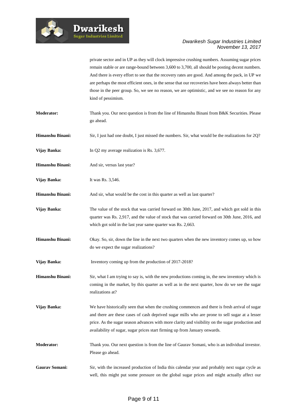

private sector and in UP as they will clock impressive crushing numbers. Assuming sugar prices remain stable or are range-bound between 3,600 to 3,700, all should be posting decent numbers. And there is every effort to see that the recovery rates are good. And among the pack, in UP we are perhaps the most efficient ones, in the sense that our recoveries have been always better than those in the peer group. So, we see no reason, we are optimistic, and we see no reason for any kind of pessimism.

- **Moderator:** Thank you. Our next question is from the line of Himanshu Binani from B&K Securities. Please go ahead.
- **Himanshu Binani:** Sir, I just had one doubt, I just missed the numbers. Sir, what would be the realizations for 2Q?
- **Vijay Banka:** In Q2 my average realization is Rs. 3,677.

**Dwarikesh Sugar Industries Limited** 

- **Himanshu Binani:** And sir, versus last year?
- **Vijay Banka:** It was Rs. 3,546.
- **Himanshu Binani:** And sir, what would be the cost in this quarter as well as last quarter?
- **Vijay Banka:** The value of the stock that was carried forward on 30th June, 2017, and which got sold in this quarter was Rs. 2,917, and the value of stock that was carried forward on 30th June, 2016, and which got sold in the last year same quarter was Rs. 2,663.
- **Himanshu Binani:** Okay. So, sir, down the line in the next two quarters when the new inventory comes up, so how do we expect the sugar realizations?
- **Vijay Banka:** Inventory coming up from the production of 2017-2018?
- **Himanshu Binani:** Sir, what I am trying to say is, with the new productions coming in, the new inventory which is coming in the market, by this quarter as well as in the next quarter, how do we see the sugar realizations at?
- **Vijay Banka:** We have historically seen that when the crushing commences and there is fresh arrival of sugar and there are these cases of cash deprived sugar mills who are prone to sell sugar at a lesser price. As the sugar season advances with more clarity and visibility on the sugar production and availability of sugar, sugar prices start firming up from January onwards.
- **Moderator:** Thank you. Our next question is from the line of Gaurav Somani, who is an individual investor. Please go ahead.
- Gaurav Somani: Sir, with the increased production of India this calendar year and probably next sugar cycle as well, this might put some pressure on the global sugar prices and might actually affect our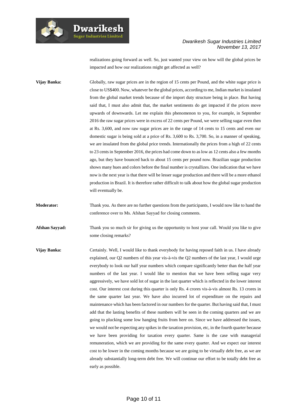

**Dwarikesh Sugar Industries Limited** 

#### *Dwarikesh Sugar Industries Limited November 13, 2017*

realizations going forward as well. So, just wanted your view on how will the global prices be impacted and how our realizations might get affected as well?

**Vijay Banka:** Globally, raw sugar prices are in the region of 15 cents per Pound, and the white sugar price is close to US\$400. Now, whatever be the global prices, according to me, Indian market is insulated from the global market trends because of the import duty structure being in place. But having said that, I must also admit that, the market sentiments do get impacted if the prices move upwards of downwards. Let me explain this phenomenon to you, for example, in September 2016 the raw sugar prices were in excess of 22 cents per Pound, we were selling sugar even then at Rs. 3,600, and now raw sugar prices are in the range of 14 cents to 15 cents and even our domestic sugar is being sold at a price of Rs. 3,600 to Rs. 3,700. So, in a manner of speaking, we are insulated from the global price trends. Internationally the prices from a high of 22 cents to 23 cents in September 2016, the prices had come down to as low as 12 cents also a few months ago, but they have bounced back to about 15 cents per pound now. Brazilian sugar production shows many hues and colors before the final number is crystallizes. One indication that we have now is the next year is that there will be lesser sugar production and there will be a more ethanol production in Brazil. It is therefore rather difficult to talk about how the global sugar production will eventually be.

**Moderator:** Thank you. As there are no further questions from the participants, I would now like to hand the conference over to Ms. Afshan Sayyad for closing comments.

**Afshan Sayyad:** Thank you so much sir for giving us the opportunity to host your call. Would you like to give some closing remarks?

**Vijay Banka:** Certainly. Well, I would like to thank everybody for having reposed faith in us. I have already explained, our Q2 numbers of this year vis-à-vis the Q2 numbers of the last year, I would urge everybody to look our half year numbers which compare significantly better than the half year numbers of the last year. I would like to mention that we have been selling sugar very aggressively, we have sold lot of sugar in the last quarter which is reflected in the lower interest cost. Our interest cost during this quarter is only Rs. 4 crores vis-à-vis almost Rs. 13 crores in the same quarter last year. We have also incurred lot of expenditure on the repairs and maintenance which has been factored in our numbers for the quarter. But having said that, I must add that the lasting benefits of these numbers will be seen in the coming quarters and we are going to plucking some low hanging fruits from here on. Since we have addressed the issues, we would not be expecting any spikes in the taxation provision, etc, in the fourth quarter because we have been providing for taxation every quarter. Same is the case with managerial remuneration, which we are providing for the same every quarter. And we expect our interest cost to be lower in the coming months because we are going to be virtually debt free, as we are already substantially long-term debt free. We will continue our effort to be totally debt free as early as possible.